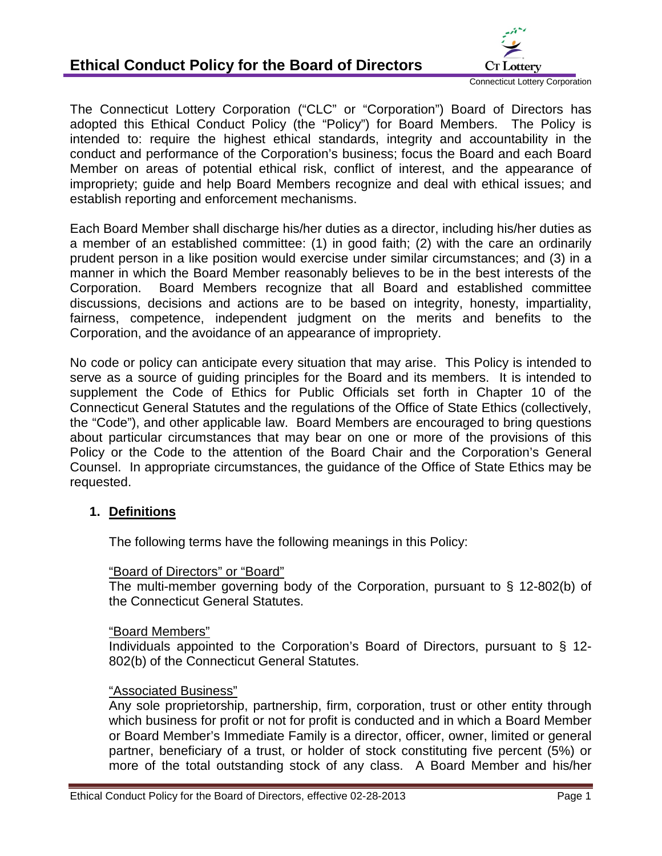# **Ethical Conduct Policy for the Board of Directors**



The Connecticut Lottery Corporation ("CLC" or "Corporation") Board of Directors has adopted this Ethical Conduct Policy (the "Policy") for Board Members. The Policy is intended to: require the highest ethical standards, integrity and accountability in the conduct and performance of the Corporation's business; focus the Board and each Board Member on areas of potential ethical risk, conflict of interest, and the appearance of impropriety; guide and help Board Members recognize and deal with ethical issues; and establish reporting and enforcement mechanisms.

Each Board Member shall discharge his/her duties as a director, including his/her duties as a member of an established committee: (1) in good faith; (2) with the care an ordinarily prudent person in a like position would exercise under similar circumstances; and (3) in a manner in which the Board Member reasonably believes to be in the best interests of the Corporation. Board Members recognize that all Board and established committee discussions, decisions and actions are to be based on integrity, honesty, impartiality, fairness, competence, independent judgment on the merits and benefits to the Corporation, and the avoidance of an appearance of impropriety.

No code or policy can anticipate every situation that may arise. This Policy is intended to serve as a source of guiding principles for the Board and its members. It is intended to supplement the Code of Ethics for Public Officials set forth in Chapter 10 of the Connecticut General Statutes and the regulations of the Office of State Ethics (collectively, the "Code"), and other applicable law. Board Members are encouraged to bring questions about particular circumstances that may bear on one or more of the provisions of this Policy or the Code to the attention of the Board Chair and the Corporation's General Counsel. In appropriate circumstances, the guidance of the Office of State Ethics may be requested.

### **1. Definitions**

The following terms have the following meanings in this Policy:

### "Board of Directors" or "Board"

The multi-member governing body of the Corporation, pursuant to § 12-802(b) of the Connecticut General Statutes.

### "Board Members"

Individuals appointed to the Corporation's Board of Directors, pursuant to § 12- 802(b) of the Connecticut General Statutes.

## "Associated Business"

Any sole proprietorship, partnership, firm, corporation, trust or other entity through which business for profit or not for profit is conducted and in which a Board Member or Board Member's Immediate Family is a director, officer, owner, limited or general partner, beneficiary of a trust, or holder of stock constituting five percent (5%) or more of the total outstanding stock of any class. A Board Member and his/her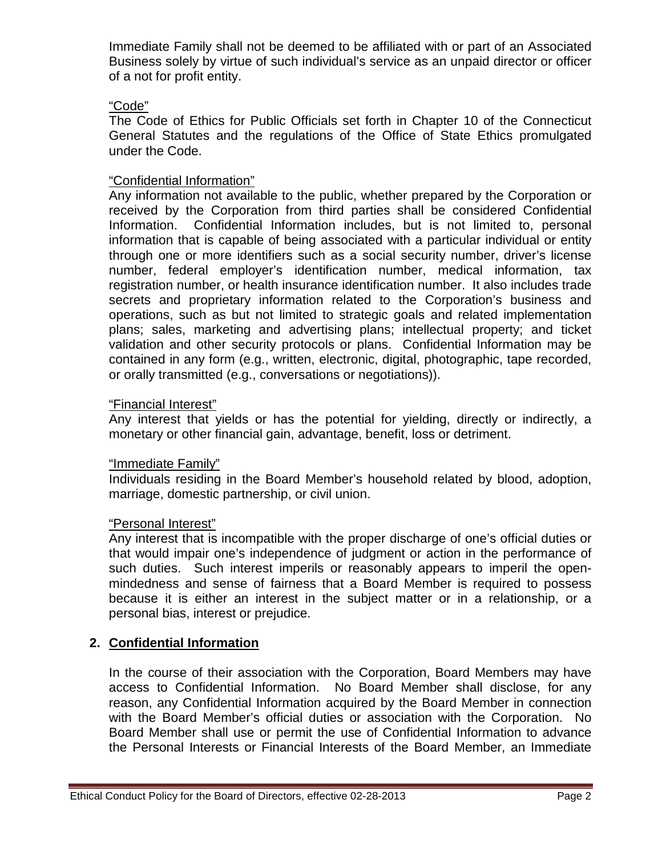Immediate Family shall not be deemed to be affiliated with or part of an Associated Business solely by virtue of such individual's service as an unpaid director or officer of a not for profit entity.

## "Code"

The Code of Ethics for Public Officials set forth in Chapter 10 of the Connecticut General Statutes and the regulations of the Office of State Ethics promulgated under the Code.

## "Confidential Information"

Any information not available to the public, whether prepared by the Corporation or received by the Corporation from third parties shall be considered Confidential Information. Confidential Information includes, but is not limited to, personal information that is capable of being associated with a particular individual or entity through one or more identifiers such as a social security number, driver's license number, federal employer's identification number, medical information, tax registration number, or health insurance identification number. It also includes trade secrets and proprietary information related to the Corporation's business and operations, such as but not limited to strategic goals and related implementation plans; sales, marketing and advertising plans; intellectual property; and ticket validation and other security protocols or plans. Confidential Information may be contained in any form (e.g., written, electronic, digital, photographic, tape recorded, or orally transmitted (e.g., conversations or negotiations)).

## "Financial Interest"

Any interest that yields or has the potential for yielding, directly or indirectly, a monetary or other financial gain, advantage, benefit, loss or detriment.

### "Immediate Family"

Individuals residing in the Board Member's household related by blood, adoption, marriage, domestic partnership, or civil union.

### "Personal Interest"

Any interest that is incompatible with the proper discharge of one's official duties or that would impair one's independence of judgment or action in the performance of such duties. Such interest imperils or reasonably appears to imperil the openmindedness and sense of fairness that a Board Member is required to possess because it is either an interest in the subject matter or in a relationship, or a personal bias, interest or prejudice.

### **2. Confidential Information**

In the course of their association with the Corporation, Board Members may have access to Confidential Information. No Board Member shall disclose, for any reason, any Confidential Information acquired by the Board Member in connection with the Board Member's official duties or association with the Corporation. No Board Member shall use or permit the use of Confidential Information to advance the Personal Interests or Financial Interests of the Board Member, an Immediate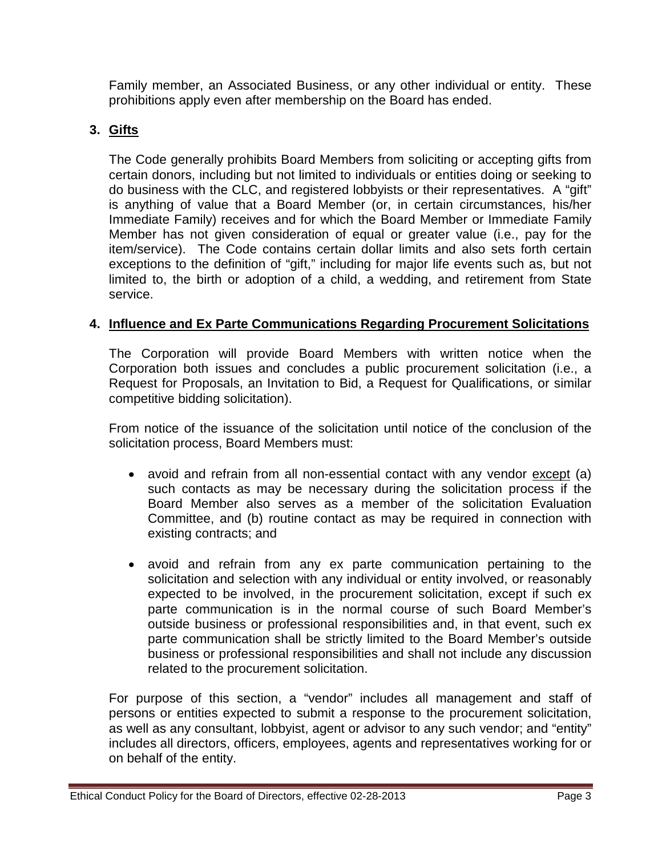Family member, an Associated Business, or any other individual or entity. These prohibitions apply even after membership on the Board has ended.

## **3. Gifts**

The Code generally prohibits Board Members from soliciting or accepting gifts from certain donors, including but not limited to individuals or entities doing or seeking to do business with the CLC, and registered lobbyists or their representatives. A "gift" is anything of value that a Board Member (or, in certain circumstances, his/her Immediate Family) receives and for which the Board Member or Immediate Family Member has not given consideration of equal or greater value (i.e., pay for the item/service). The Code contains certain dollar limits and also sets forth certain exceptions to the definition of "gift," including for major life events such as, but not limited to, the birth or adoption of a child, a wedding, and retirement from State service.

## **4. Influence and Ex Parte Communications Regarding Procurement Solicitations**

The Corporation will provide Board Members with written notice when the Corporation both issues and concludes a public procurement solicitation (i.e., a Request for Proposals, an Invitation to Bid, a Request for Qualifications, or similar competitive bidding solicitation).

From notice of the issuance of the solicitation until notice of the conclusion of the solicitation process, Board Members must:

- avoid and refrain from all non-essential contact with any vendor except (a) such contacts as may be necessary during the solicitation process if the Board Member also serves as a member of the solicitation Evaluation Committee, and (b) routine contact as may be required in connection with existing contracts; and
- avoid and refrain from any ex parte communication pertaining to the solicitation and selection with any individual or entity involved, or reasonably expected to be involved, in the procurement solicitation, except if such ex parte communication is in the normal course of such Board Member's outside business or professional responsibilities and, in that event, such ex parte communication shall be strictly limited to the Board Member's outside business or professional responsibilities and shall not include any discussion related to the procurement solicitation.

For purpose of this section, a "vendor" includes all management and staff of persons or entities expected to submit a response to the procurement solicitation, as well as any consultant, lobbyist, agent or advisor to any such vendor; and "entity" includes all directors, officers, employees, agents and representatives working for or on behalf of the entity.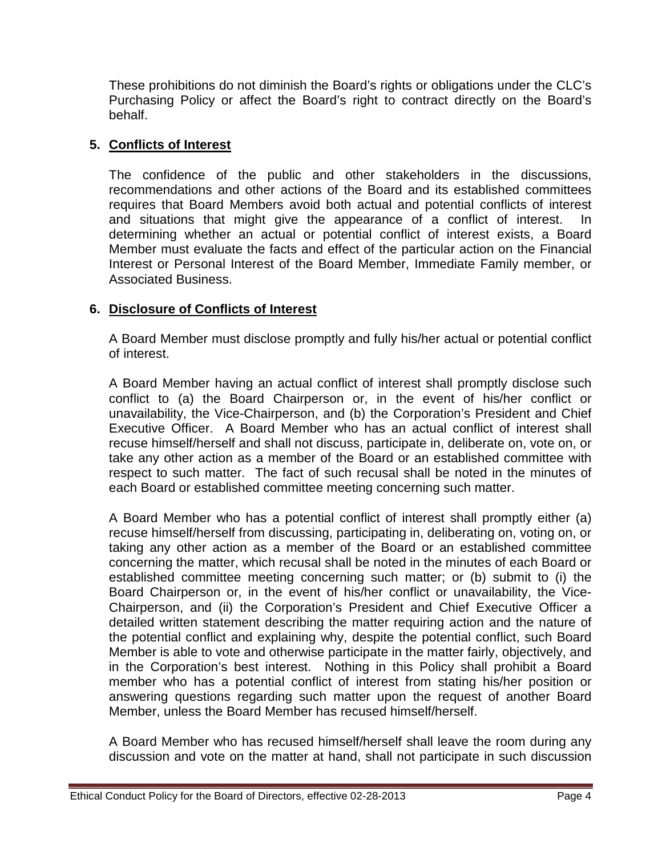These prohibitions do not diminish the Board's rights or obligations under the CLC's Purchasing Policy or affect the Board's right to contract directly on the Board's behalf.

## **5. Conflicts of Interest**

The confidence of the public and other stakeholders in the discussions, recommendations and other actions of the Board and its established committees requires that Board Members avoid both actual and potential conflicts of interest and situations that might give the appearance of a conflict of interest. In determining whether an actual or potential conflict of interest exists, a Board Member must evaluate the facts and effect of the particular action on the Financial Interest or Personal Interest of the Board Member, Immediate Family member, or Associated Business.

## **6. Disclosure of Conflicts of Interest**

A Board Member must disclose promptly and fully his/her actual or potential conflict of interest.

A Board Member having an actual conflict of interest shall promptly disclose such conflict to (a) the Board Chairperson or, in the event of his/her conflict or unavailability, the Vice-Chairperson, and (b) the Corporation's President and Chief Executive Officer. A Board Member who has an actual conflict of interest shall recuse himself/herself and shall not discuss, participate in, deliberate on, vote on, or take any other action as a member of the Board or an established committee with respect to such matter. The fact of such recusal shall be noted in the minutes of each Board or established committee meeting concerning such matter.

A Board Member who has a potential conflict of interest shall promptly either (a) recuse himself/herself from discussing, participating in, deliberating on, voting on, or taking any other action as a member of the Board or an established committee concerning the matter, which recusal shall be noted in the minutes of each Board or established committee meeting concerning such matter; or (b) submit to (i) the Board Chairperson or, in the event of his/her conflict or unavailability, the Vice-Chairperson, and (ii) the Corporation's President and Chief Executive Officer a detailed written statement describing the matter requiring action and the nature of the potential conflict and explaining why, despite the potential conflict, such Board Member is able to vote and otherwise participate in the matter fairly, objectively, and in the Corporation's best interest. Nothing in this Policy shall prohibit a Board member who has a potential conflict of interest from stating his/her position or answering questions regarding such matter upon the request of another Board Member, unless the Board Member has recused himself/herself.

A Board Member who has recused himself/herself shall leave the room during any discussion and vote on the matter at hand, shall not participate in such discussion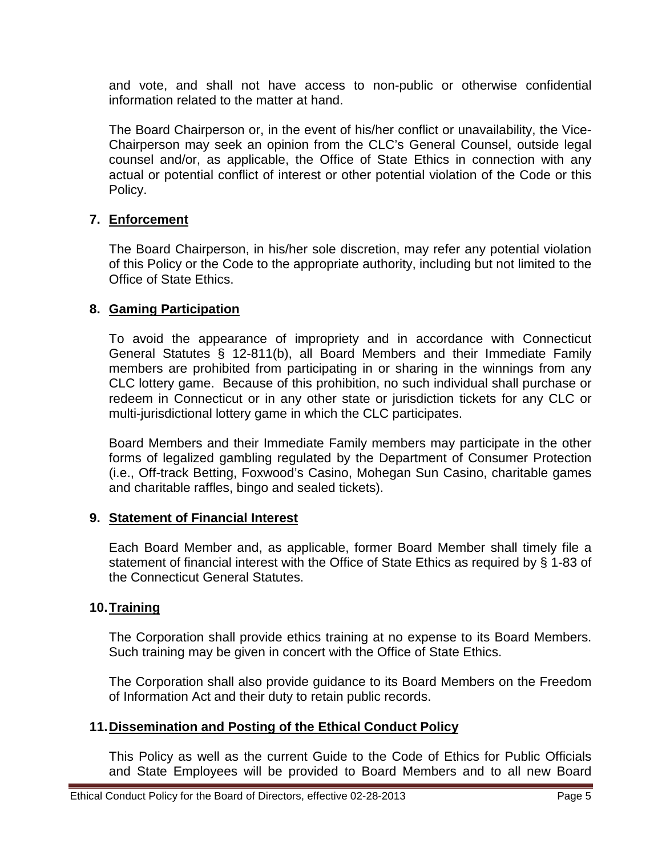and vote, and shall not have access to non-public or otherwise confidential information related to the matter at hand.

The Board Chairperson or, in the event of his/her conflict or unavailability, the Vice-Chairperson may seek an opinion from the CLC's General Counsel, outside legal counsel and/or, as applicable, the Office of State Ethics in connection with any actual or potential conflict of interest or other potential violation of the Code or this Policy.

### **7. Enforcement**

The Board Chairperson, in his/her sole discretion, may refer any potential violation of this Policy or the Code to the appropriate authority, including but not limited to the Office of State Ethics.

### **8. Gaming Participation**

To avoid the appearance of impropriety and in accordance with Connecticut General Statutes § 12-811(b), all Board Members and their Immediate Family members are prohibited from participating in or sharing in the winnings from any CLC lottery game. Because of this prohibition, no such individual shall purchase or redeem in Connecticut or in any other state or jurisdiction tickets for any CLC or multi-jurisdictional lottery game in which the CLC participates.

Board Members and their Immediate Family members may participate in the other forms of legalized gambling regulated by the Department of Consumer Protection (i.e., Off-track Betting, Foxwood's Casino, Mohegan Sun Casino, charitable games and charitable raffles, bingo and sealed tickets).

### **9. Statement of Financial Interest**

Each Board Member and, as applicable, former Board Member shall timely file a statement of financial interest with the Office of State Ethics as required by § 1-83 of the Connecticut General Statutes.

### **10.Training**

The Corporation shall provide ethics training at no expense to its Board Members. Such training may be given in concert with the Office of State Ethics.

The Corporation shall also provide guidance to its Board Members on the Freedom of Information Act and their duty to retain public records.

### **11.Dissemination and Posting of the Ethical Conduct Policy**

This Policy as well as the current Guide to the Code of Ethics for Public Officials and State Employees will be provided to Board Members and to all new Board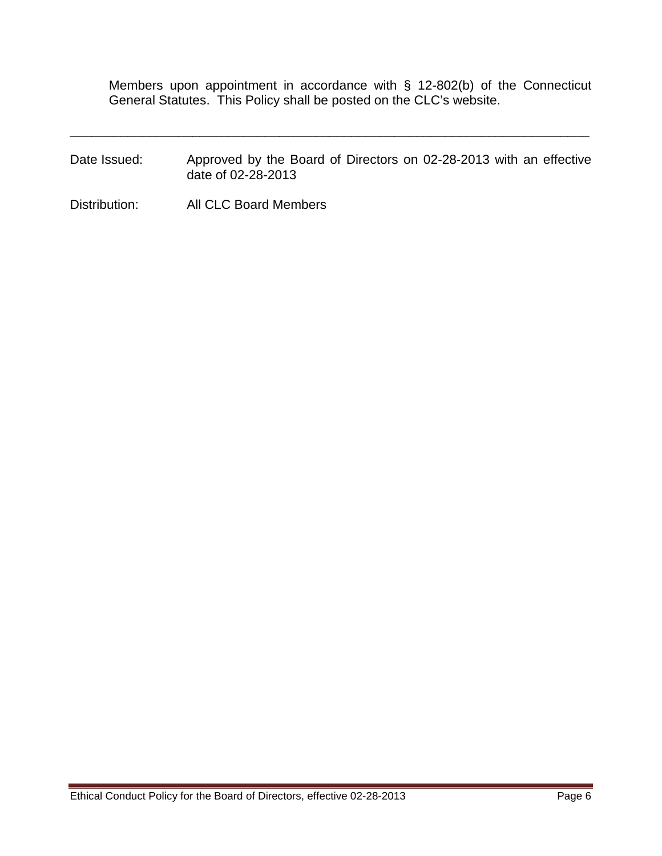Members upon appointment in accordance with § 12-802(b) of the Connecticut General Statutes. This Policy shall be posted on the CLC's website.

Date Issued: Approved by the Board of Directors on 02-28-2013 with an effective date of 02-28-2013

\_\_\_\_\_\_\_\_\_\_\_\_\_\_\_\_\_\_\_\_\_\_\_\_\_\_\_\_\_\_\_\_\_\_\_\_\_\_\_\_\_\_\_\_\_\_\_\_\_\_\_\_\_\_\_\_\_\_\_\_\_\_\_\_\_\_\_\_\_\_\_\_

Distribution: All CLC Board Members